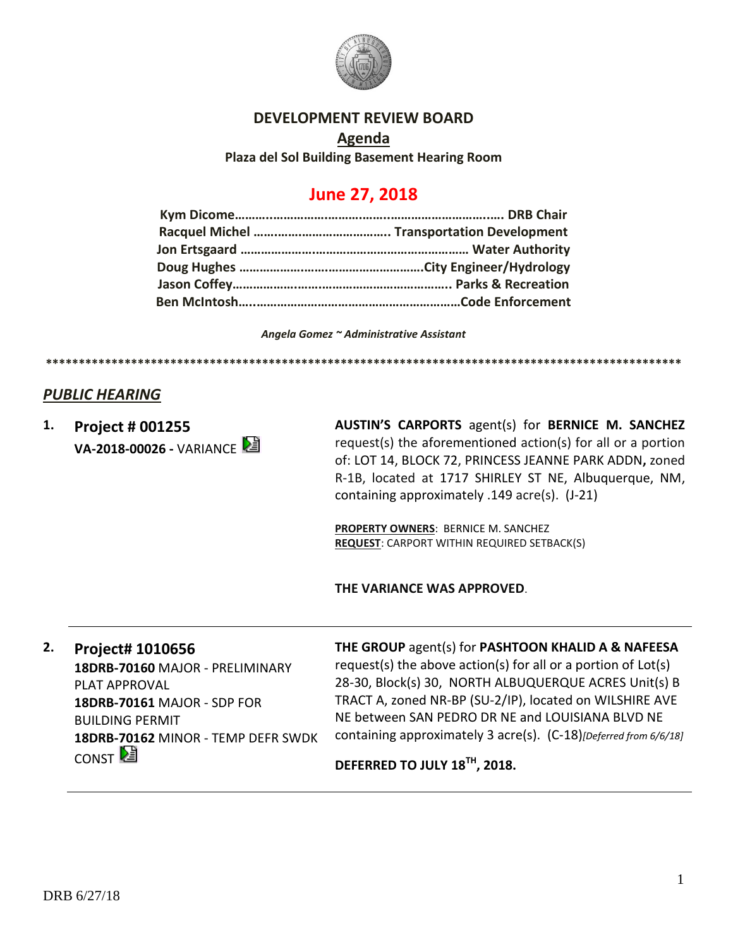

## **DEVELOPMENT REVIEW BOARD**

**Agenda Plaza del Sol Building Basement Hearing Room**

# **June 27, 2018**

*Angela Gomez ~ Administrative Assistant*

**\*\*\*\*\*\*\*\*\*\*\*\*\*\*\*\*\*\*\*\*\*\*\*\*\*\*\*\*\*\*\*\*\*\*\*\*\*\*\*\*\*\*\*\*\*\*\*\*\*\*\*\*\*\*\*\*\*\*\*\*\*\*\*\*\*\*\*\*\*\*\*\*\*\*\*\*\*\*\*\*\*\*\*\*\*\*\*\*\*\*\*\*\*\*\*\*\***

## *PUBLIC HEARING*

**1. Project # 001255 VA-2018-00026 -** VARIANCE **AUSTIN'S CARPORTS** agent(s) for **BERNICE M. SANCHEZ** request(s) the aforementioned action(s) for all or a portion of: LOT 14, BLOCK 72, PRINCESS JEANNE PARK ADDN**,** zoned R-1B, located at 1717 SHIRLEY ST NE, Albuquerque, NM, containing approximately .149 acre(s). (J-21)

**PROPERTY OWNERS**: BERNICE M. SANCHEZ **REQUEST**: CARPORT WITHIN REQUIRED SETBACK(S)

**THE VARIANCE WAS APPROVED**.

## **2. Project# 1010656**

**18DRB-70160** MAJOR - PRELIMINARY PLAT APPROVAL **18DRB-70161** MAJOR - SDP FOR BUILDING PERMIT **18DRB-70162** MINOR - TEMP DEFR SWDK CONST<sup>[2</sup>

### **THE GROUP** agent(s) for **PASHTOON KHALID A & NAFEESA**

request(s) the above action(s) for all or a portion of Lot(s) 28-30, Block(s) 30, NORTH ALBUQUERQUE ACRES Unit(s) B TRACT A, zoned NR-BP (SU-2/IP), located on WILSHIRE AVE NE between SAN PEDRO DR NE and LOUISIANA BLVD NE containing approximately 3 acre(s). (C-18)*[Deferred from 6/6/18]*

**DEFERRED TO JULY 18TH, 2018.**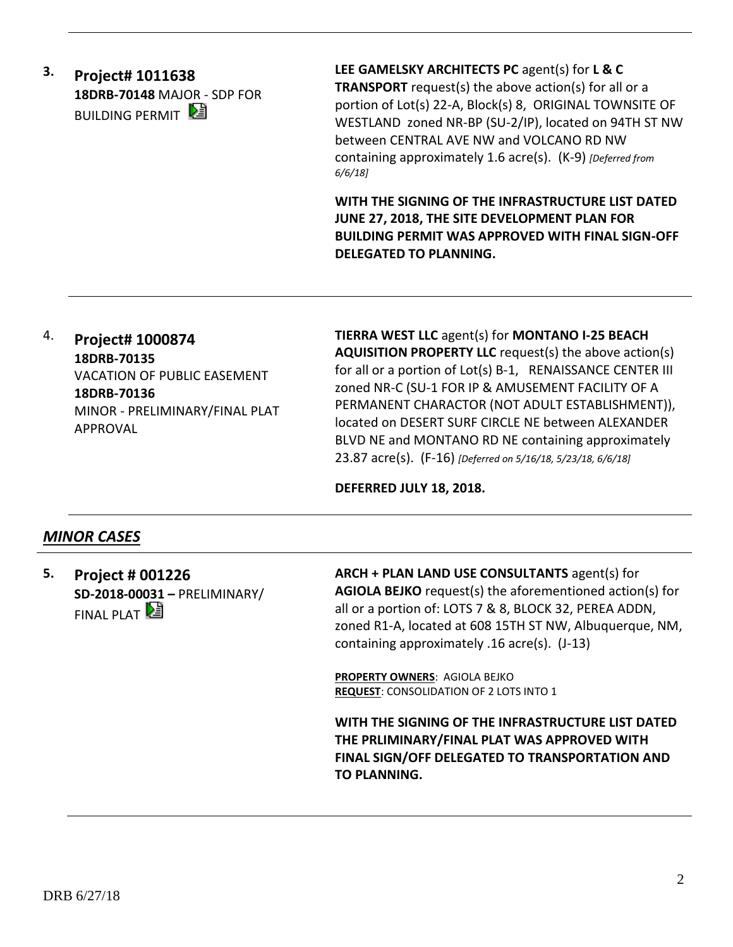**3. Project# 1011638 18DRB-70148** MAJOR - SDP FOR **BUILDING PERMIT** 

**LEE GAMELSKY ARCHITECTS PC** agent(s) for **L & C TRANSPORT** request(s) the above action(s) for all or a portion of Lot(s) 22-A, Block(s) 8, ORIGINAL TOWNSITE OF WESTLAND zoned NR-BP (SU-2/IP), located on 94TH ST NW between CENTRAL AVE NW and VOLCANO RD NW containing approximately 1.6 acre(s). (K-9) *[Deferred from 6/6/18]*

**WITH THE SIGNING OF THE INFRASTRUCTURE LIST DATED JUNE 27, 2018, THE SITE DEVELOPMENT PLAN FOR BUILDING PERMIT WAS APPROVED WITH FINAL SIGN-OFF DELEGATED TO PLANNING.**

# 4. **Project# 1000874 18DRB-70135** VACATION OF PUBLIC EASEMENT **18DRB-70136** MINOR - PRELIMINARY/FINAL PLAT APPROVAL

**TIERRA WEST LLC** agent(s) for **MONTANO I-25 BEACH AQUISITION PROPERTY LLC** request(s) the above action(s) for all or a portion of Lot(s) B-1, RENAISSANCE CENTER III zoned NR-C (SU-1 FOR IP & AMUSEMENT FACILITY OF A PERMANENT CHARACTOR (NOT ADULT ESTABLISHMENT)), located on DESERT SURF CIRCLE NE between ALEXANDER BLVD NE and MONTANO RD NE containing approximately 23.87 acre(s). (F-16) *[Deferred on 5/16/18, 5/23/18, 6/6/18]*

## **DEFERRED JULY 18, 2018.**

# *MINOR CASES*

**5. Project # 001226 SD-2018-00031 –** PRELIMINARY/ FINAL PLAT  $\mathbb{Z}$ 

**ARCH + PLAN LAND USE CONSULTANTS** agent(s) for **AGIOLA BEJKO** request(s) the aforementioned action(s) for all or a portion of: LOTS 7 & 8, BLOCK 32, PEREA ADDN, zoned R1-A, located at 608 15TH ST NW, Albuquerque, NM, containing approximately .16 acre(s). (J-13)

**PROPERTY OWNERS**: AGIOLA BEJKO **REQUEST**: CONSOLIDATION OF 2 LOTS INTO 1

**WITH THE SIGNING OF THE INFRASTRUCTURE LIST DATED THE PRLIMINARY/FINAL PLAT WAS APPROVED WITH FINAL SIGN/OFF DELEGATED TO TRANSPORTATION AND TO PLANNING.**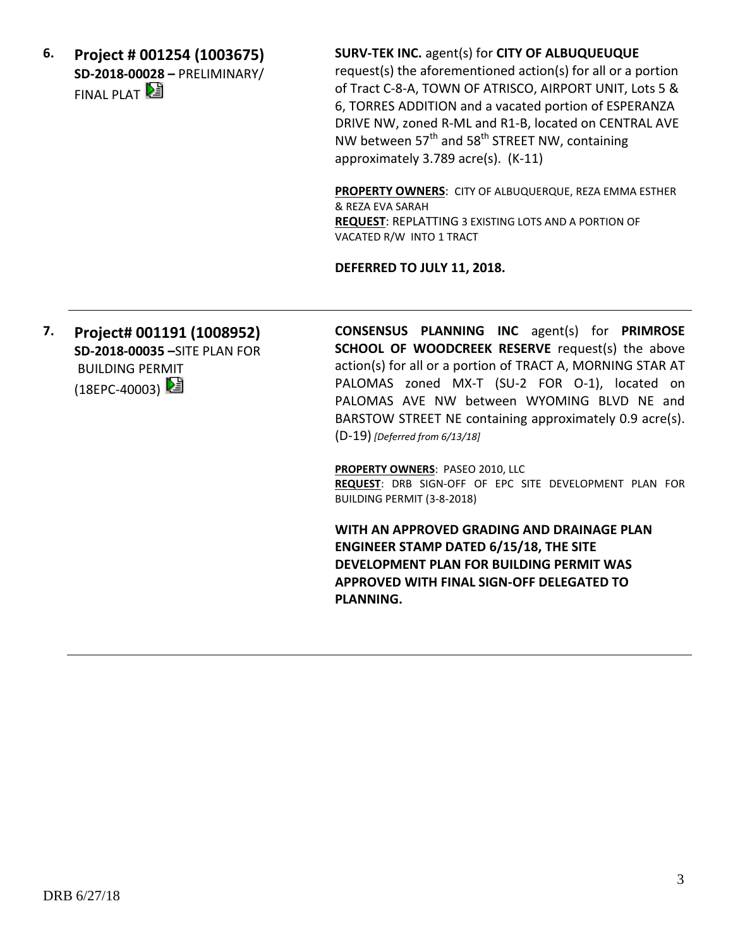**6. Project # 001254 (1003675) SD-2018-00028 –** PRELIMINARY/ FINAL PLAT  $\mathbb{E}$ 

**SURV-TEK INC.** agent(s) for **CITY OF ALBUQUEUQUE** 

request(s) the aforementioned action(s) for all or a portion of Tract C-8-A, TOWN OF ATRISCO, AIRPORT UNIT, Lots 5 & 6, TORRES ADDITION and a vacated portion of ESPERANZA DRIVE NW, zoned R-ML and R1-B, located on CENTRAL AVE NW between  $57<sup>th</sup>$  and  $58<sup>th</sup>$  STREET NW, containing approximately 3.789 acre(s). (K-11)

**PROPERTY OWNERS**: CITY OF ALBUQUERQUE, REZA EMMA ESTHER & REZA EVA SARAH **REQUEST**: REPLATTING 3 EXISTING LOTS AND A PORTION OF VACATED R/W INTO 1 TRACT

**DEFERRED TO JULY 11, 2018.** 

**7. Project# 001191 (1008952) SD-2018-00035 –**SITE PLAN FOR BUILDING PERMIT (18EPC-40003)

**CONSENSUS PLANNING INC** agent(s) for **PRIMROSE SCHOOL OF WOODCREEK RESERVE** request(s) the above action(s) for all or a portion of TRACT A, MORNING STAR AT PALOMAS zoned MX-T (SU-2 FOR O-1), located on PALOMAS AVE NW between WYOMING BLVD NE and BARSTOW STREET NE containing approximately 0.9 acre(s). (D-19) *[Deferred from 6/13/18]*

**PROPERTY OWNERS**: PASEO 2010, LLC **REQUEST**: DRB SIGN-OFF OF EPC SITE DEVELOPMENT PLAN FOR BUILDING PERMIT (3-8-2018)

**WITH AN APPROVED GRADING AND DRAINAGE PLAN ENGINEER STAMP DATED 6/15/18, THE SITE DEVELOPMENT PLAN FOR BUILDING PERMIT WAS APPROVED WITH FINAL SIGN-OFF DELEGATED TO PLANNING.**